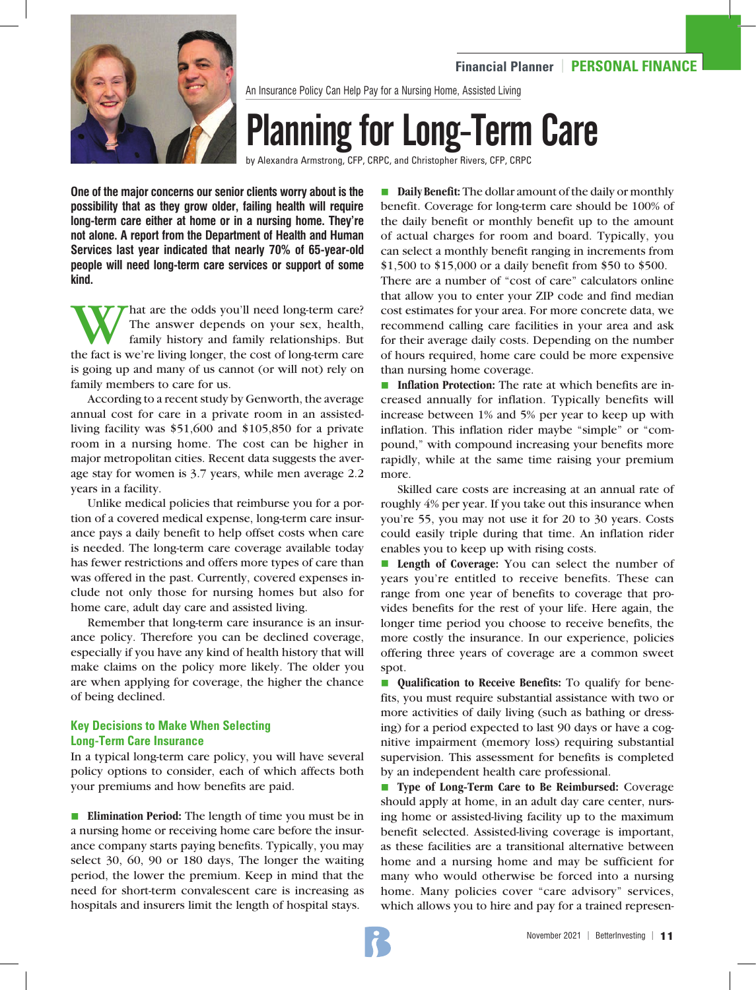

An Insurance Policy Can Help Pay for a Nursing Home, Assisted Living

# Planning for Long-Term Care

by Alexandra Armstrong, CFP, CRPC, and Christopher Rivers, CFP, CRPC

**One of the major concerns our senior clients worry about is the possibility that as they grow older, failing health will require long-term care either at home or in a nursing home. They're not alone. A report from the Department of Health and Human Services last year indicated that nearly 70% of 65-year-old people will need long-term care services or support of some kind.**

W That are the odds you'll need long-term care?<br>The answer depends on your sex, health,<br>family history and family relationships. But<br>the fact is we're living longer, the cost of long-term care The answer depends on your sex, health, family history and family relationships. But the fact is we're living longer, the cost of long-term care is going up and many of us cannot (or will not) rely on family members to care for us.

According to a recent study by Genworth, the average annual cost for care in a private room in an assistedliving facility was \$51,600 and \$105,850 for a private room in a nursing home. The cost can be higher in major metropolitan cities. Recent data suggests the average stay for women is 3.7 years, while men average 2.2 years in a facility.

Unlike medical policies that reimburse you for a portion of a covered medical expense, long-term care insurance pays a daily benefit to help offset costs when care is needed. The long-term care coverage available today has fewer restrictions and offers more types of care than was offered in the past. Currently, covered expenses include not only those for nursing homes but also for home care, adult day care and assisted living.

Remember that long-term care insurance is an insurance policy. Therefore you can be declined coverage, especially if you have any kind of health history that will make claims on the policy more likely. The older you are when applying for coverage, the higher the chance of being declined.

# **Key Decisions to Make When Selecting Long-Term Care Insurance**

In a typical long-term care policy, you will have several policy options to consider, each of which affects both your premiums and how benefits are paid.

■ **Elimination Period:** The length of time you must be in a nursing home or receiving home care before the insurance company starts paying benefits. Typically, you may select 30, 60, 90 or 180 days, The longer the waiting period, the lower the premium. Keep in mind that the need for short-term convalescent care is increasing as hospitals and insurers limit the length of hospital stays.

**n Daily Benefit:** The dollar amount of the daily or monthly benefit. Coverage for long-term care should be 100% of the daily benefit or monthly benefit up to the amount of actual charges for room and board. Typically, you can select a monthly benefit ranging in increments from \$1,500 to \$15,000 or a daily benefit from \$50 to \$500.

There are a number of "cost of care" calculators online that allow you to enter your ZIP code and find median cost estimates for your area. For more concrete data, we recommend calling care facilities in your area and ask for their average daily costs. Depending on the number of hours required, home care could be more expensive than nursing home coverage.

**nimidation Protection:** The rate at which benefits are increased annually for inflation. Typically benefits will increase between 1% and 5% per year to keep up with inflation. This inflation rider maybe "simple" or "compound," with compound increasing your benefits more rapidly, while at the same time raising your premium more.

Skilled care costs are increasing at an annual rate of roughly 4% per year. If you take out this insurance when you're 55, you may not use it for 20 to 30 years. Costs could easily triple during that time. An inflation rider enables you to keep up with rising costs.

■ Length of Coverage: You can select the number of years you're entitled to receive benefits. These can range from one year of benefits to coverage that provides benefits for the rest of your life. Here again, the longer time period you choose to receive benefits, the more costly the insurance. In our experience, policies offering three years of coverage are a common sweet spot.

**n Qualification to Receive Benefits:** To qualify for benefits, you must require substantial assistance with two or more activities of daily living (such as bathing or dressing) for a period expected to last 90 days or have a cognitive impairment (memory loss) requiring substantial supervision. This assessment for benefits is completed by an independent health care professional.

■ **Type of Long-Term Care to Be Reimbursed:** Coverage should apply at home, in an adult day care center, nursing home or assisted-living facility up to the maximum benefit selected. Assisted-living coverage is important, as these facilities are a transitional alternative between home and a nursing home and may be sufficient for many who would otherwise be forced into a nursing home. Many policies cover "care advisory" services, which allows you to hire and pay for a trained represen-

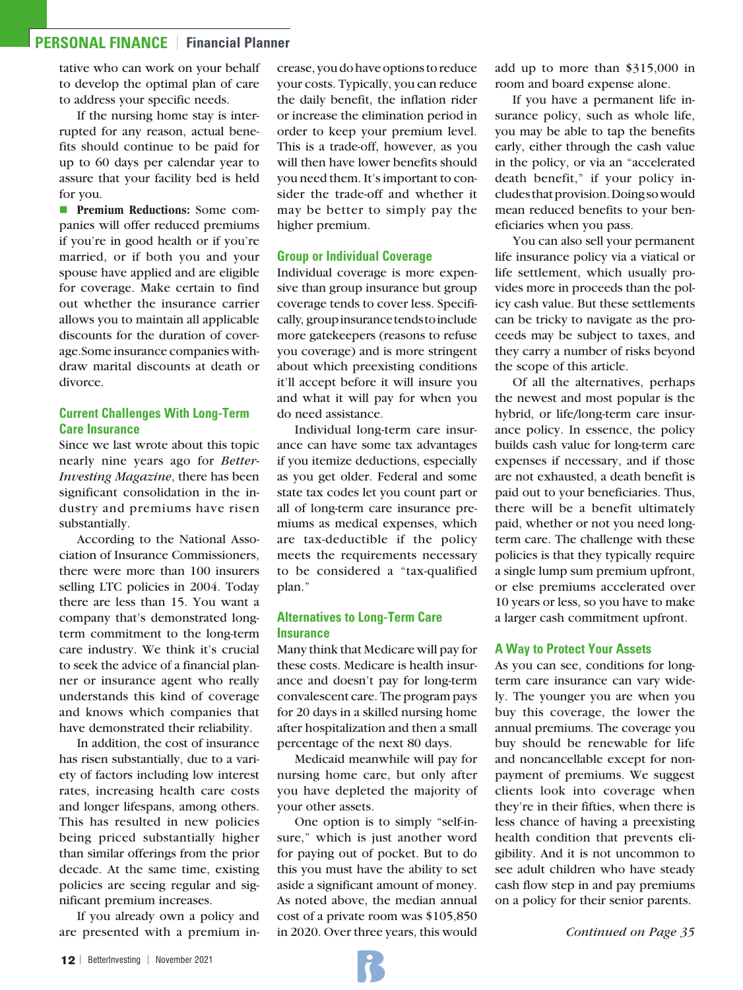# **PERSONAL FINANCE** | **Financial Planner**

tative who can work on your behalf to develop the optimal plan of care to address your specific needs.

If the nursing home stay is interrupted for any reason, actual benefits should continue to be paid for up to 60 days per calendar year to assure that your facility bed is held for you.

**n Premium Reductions:** Some companies will offer reduced premiums if you're in good health or if you're married, or if both you and your spouse have applied and are eligible for coverage. Make certain to find out whether the insurance carrier allows you to maintain all applicable discounts for the duration of coverage. Some insurance companies withdraw marital discounts at death or divorce.

## **Current Challenges With Long-Term Care Insurance**

Since we last wrote about this topic nearly nine years ago for *Better-Investing Magazine*, there has been significant consolidation in the industry and premiums have risen substantially.

According to the National Association of Insurance Commissioners, there were more than 100 insurers selling LTC policies in 2004. Today there are less than 15. You want a company that's demonstrated longterm commitment to the long-term care industry. We think it's crucial to seek the advice of a financial planner or insurance agent who really understands this kind of coverage and knows which companies that have demonstrated their reliability.

In addition, the cost of insurance has risen substantially, due to a variety of factors including low interest rates, increasing health care costs and longer lifespans, among others. This has resulted in new policies being priced substantially higher than similar offerings from the prior decade. At the same time, existing policies are seeing regular and significant premium increases.

If you already own a policy and are presented with a premium increase, you do have options to reduce your costs. Typically, you can reduce the daily benefit, the inflation rider or increase the elimination period in order to keep your premium level. This is a trade-off, however, as you will then have lower benefits should you need them. It's important to consider the trade-off and whether it may be better to simply pay the higher premium.

#### **Group or Individual Coverage**

Individual coverage is more expensive than group insurance but group coverage tends to cover less. Specifically, group insurance tends to include more gatekeepers (reasons to refuse you coverage) and is more stringent about which preexisting conditions it'll accept before it will insure you and what it will pay for when you do need assistance.

Individual long-term care insurance can have some tax advantages if you itemize deductions, especially as you get older. Federal and some state tax codes let you count part or all of long-term care insurance premiums as medical expenses, which are tax-deductible if the policy meets the requirements necessary to be considered a "tax-qualified plan."

## **Alternatives to Long-Term Care Insurance**

Many think that Medicare will pay for these costs. Medicare is health insurance and doesn't pay for long-term convalescent care. The program pays for 20 days in a skilled nursing home after hospitalization and then a small percentage of the next 80 days.

Medicaid meanwhile will pay for nursing home care, but only after you have depleted the majority of your other assets.

One option is to simply "self-insure," which is just another word for paying out of pocket. But to do this you must have the ability to set aside a significant amount of money. As noted above, the median annual cost of a private room was \$105,850 in 2020. Over three years, this would

add up to more than \$315,000 in room and board expense alone.

If you have a permanent life insurance policy, such as whole life, you may be able to tap the benefits early, either through the cash value in the policy, or via an "accelerated death benefit," if your policy includes that provision. Doing so would mean reduced benefits to your beneficiaries when you pass.

You can also sell your permanent life insurance policy via a viatical or life settlement, which usually provides more in proceeds than the policy cash value. But these settlements can be tricky to navigate as the proceeds may be subject to taxes, and they carry a number of risks beyond the scope of this article.

Of all the alternatives, perhaps the newest and most popular is the hybrid, or life/long-term care insurance policy. In essence, the policy builds cash value for long-term care expenses if necessary, and if those are not exhausted, a death benefit is paid out to your beneficiaries. Thus, there will be a benefit ultimately paid, whether or not you need longterm care. The challenge with these policies is that they typically require a single lump sum premium upfront, or else premiums accelerated over 10 years or less, so you have to make a larger cash commitment upfront.

### **A Way to Protect Your Assets**

As you can see, conditions for longterm care insurance can vary widely. The younger you are when you buy this coverage, the lower the annual premiums. The coverage you buy should be renewable for life and noncancellable except for nonpayment of premiums. We suggest clients look into coverage when they're in their fifties, when there is less chance of having a preexisting health condition that prevents eligibility. And it is not uncommon to see adult children who have steady cash flow step in and pay premiums on a policy for their senior parents.

*Continued on Page 35*